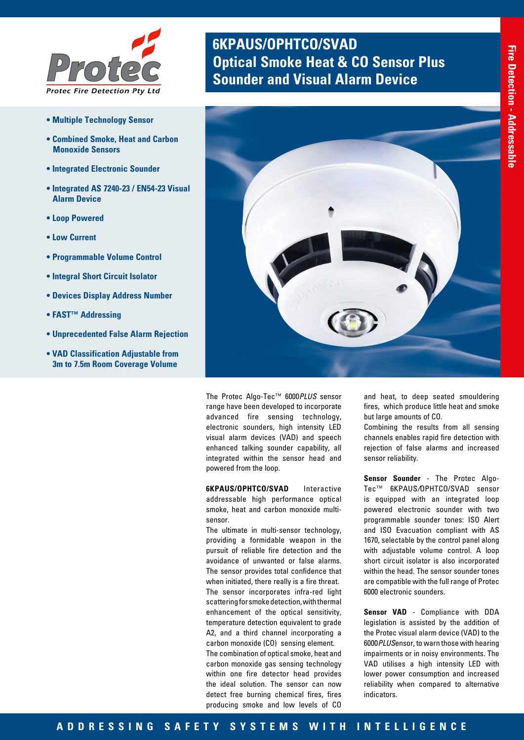

- **Multiple Technology Sensor**
- **Combined Smoke, Heat and Carbon Monoxide Sensors**
- **Integrated Electronic Sounder**
- **Integrated AS 7240-23 / EN54-23 Visual Alarm Device**
- **Loop Powered**
- **Low Current**
- **Programmable Volume Control**
- **Integral Short Circuit Isolator**
- **Devices Display Address Number**
- **FAST™ Addressing**
- **Unprecedented False Alarm Rejection**
- **VAD Classification Adjustable from 3m to 7.5m Room Coverage Volume**

# **6KPAUS/OPHTCO/SVAD Optical Smoke Heat & CO Sensor Plus <br><b>Sounder and Visual Alarm Device**



The Protec Algo-Tec™ 6000*PLUS* sensor range have been developed to incorporate advanced fire sensing technology, electronic sounders, high intensity LED visual alarm devices (VAD) and speech enhanced talking sounder capability, all integrated within the sensor head and powered from the loop.

**6KPAUS/OPHTCO/SVAD** Interactive addressable high performance optical smoke, heat and carbon monoxide multisensor.

The ultimate in multi-sensor technology, providing a formidable weapon in the pursuit of reliable fire detection and the avoidance of unwanted or false alarms. The sensor provides total confidence that when initiated, there really is a fire threat. The sensor incorporates infra-red light scattering for smoke detection, with thermal enhancement of the optical sensitivity, temperature detection equivalent to grade A2, and a third channel incorporating a carbon monoxide (CO) sensing element. The combination of optical smoke, heat and carbon monoxide gas sensing technology

within one fire detector head provides the ideal solution. The sensor can now detect free burning chemical fires, fires producing smoke and low levels of CO

and heat, to deep seated smouldering fires, which produce little heat and smoke but large amounts of CO.

Combining the results from all sensing channels enables rapid fire detection with rejection of false alarms and increased sensor reliability.

**Sensor Sounder** - The Protec Algo-Tec™ 6KPAUS*/*OPHTCO/SVAD sensor is equipped with an integrated loop powered electronic sounder with two programmable sounder tones: ISO Alert and ISO Evacuation compliant with AS 1670, selectable by the control panel along with adjustable volume control. A loop short circuit isolator is also incorporated within the head. The sensor sounder tones are compatible with the full range of Protec 6000 electronic sounders.

**Sensor VAD** - Compliance with DDA legislation is assisted by the addition of the Protec visual alarm device (VAD) to the 6000*PLUS*ensor, to warn those with hearing impairments or in noisy environments. The VAD utilises a high intensity LED with lower power consumption and increased reliability when compared to alternative indicators.